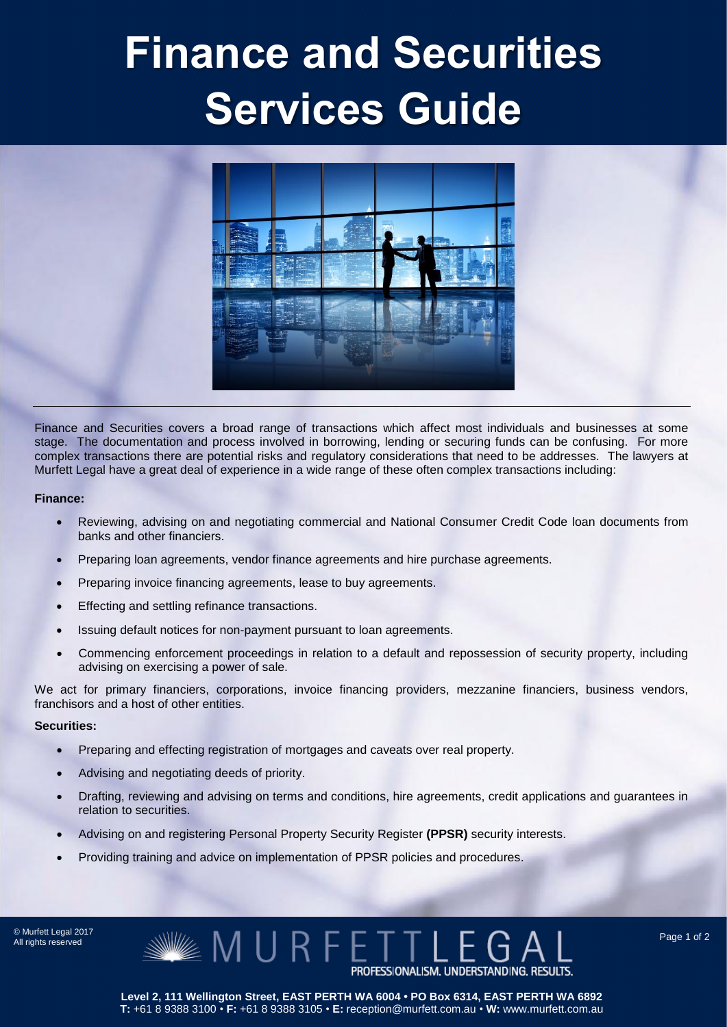## Finance and Securities Services Guide



Finance and Securities covers a broad range of transactions which affect most individuals and businesses at some stage. The documentation and process involved in borrowing, lending or securing funds can be confusing. For more complex transactions there are potential risks and regulatory considerations that need to be addresses. The lawyers at Murfett Legal have a great deal of experience in a wide range of these often complex transactions including:

## **Finance:**

- Reviewing, advising on and negotiating commercial and National Consumer Credit Code loan documents from banks and other financiers.
- Preparing loan agreements, vendor finance agreements and hire purchase agreements.
- Preparing invoice financing agreements, lease to buy agreements.
- Effecting and settling refinance transactions.
- Issuing default notices for non-payment pursuant to loan agreements.
- Commencing enforcement proceedings in relation to a default and repossession of security property, including advising on exercising a power of sale.

We act for primary financiers, corporations, invoice financing providers, mezzanine financiers, business vendors, franchisors and a host of other entities.

## **Securities:**

- Preparing and effecting registration of mortgages and caveats over real property.
- Advising and negotiating deeds of priority.
- Drafting, reviewing and advising on terms and conditions, hire agreements, credit applications and guarantees in relation to securities.
- Advising on and registering Personal Property Security Register **(PPSR)** security interests.
- Providing training and advice on implementation of PPSR policies and procedures.

© Murfett Legal 2017<br>All rights reserved



**Level 2, 111 Wellington Street, EAST PERTH WA 6004 • PO Box 6314, EAST PERTH WA 6892 T:** +61 8 9388 3100 • **F:** +61 8 9388 3105 • **E:** reception@murfett.com.au • **W:** www.murfett.com.au